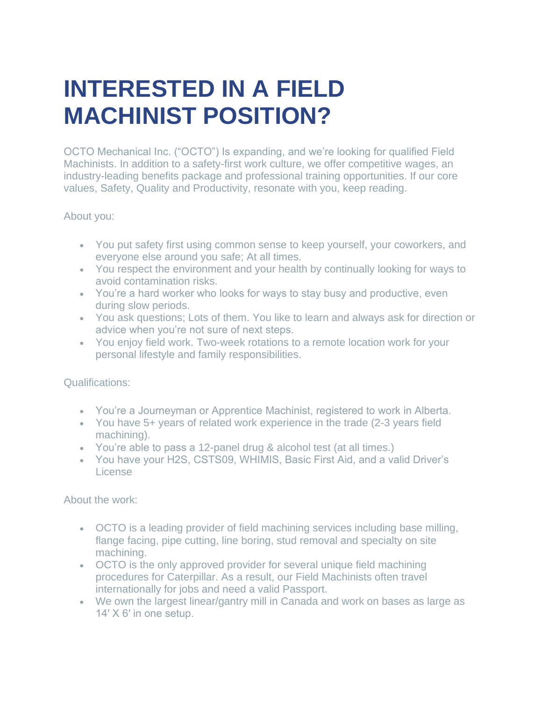## **INTERESTED IN A FIELD MACHINIST POSITION?**

OCTO Mechanical Inc. ("OCTO") Is expanding, and we're looking for qualified Field Machinists. In addition to a safety-first work culture, we offer competitive wages, an industry-leading benefits package and professional training opportunities. If our core values, Safety, Quality and Productivity, resonate with you, keep reading.

About you:

- You put safety first using common sense to keep yourself, your coworkers, and everyone else around you safe; At all times.
- You respect the environment and your health by continually looking for ways to avoid contamination risks.
- You're a hard worker who looks for ways to stay busy and productive, even during slow periods.
- You ask questions; Lots of them. You like to learn and always ask for direction or advice when you're not sure of next steps.
- You enjoy field work. Two-week rotations to a remote location work for your personal lifestyle and family responsibilities.

Qualifications:

- You're a Journeyman or Apprentice Machinist, registered to work in Alberta.
- You have 5+ years of related work experience in the trade (2-3 years field machining).
- You're able to pass a 12-panel drug & alcohol test (at all times.)
- You have your H2S, CSTS09, WHIMIS, Basic First Aid, and a valid Driver's License

About the work:

- OCTO is a leading provider of field machining services including base milling, flange facing, pipe cutting, line boring, stud removal and specialty on site machining.
- OCTO is the only approved provider for several unique field machining procedures for Caterpillar. As a result, our Field Machinists often travel internationally for jobs and need a valid Passport.
- We own the largest linear/gantry mill in Canada and work on bases as large as 14′ X 6′ in one setup.